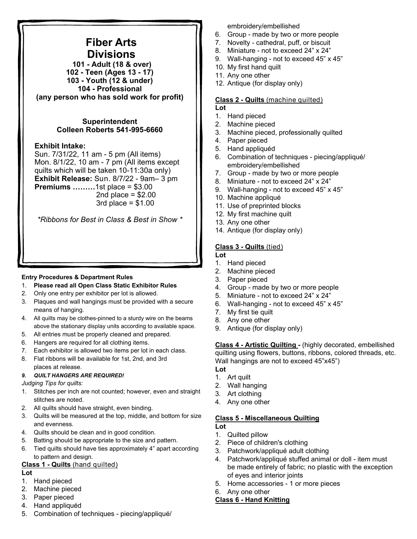# **Fiber Arts Divisions**

 **101 - Adult (18 & over) 102 - Teen (Ages 13 - 17) 103 - Youth (12 & under) 104 - Professional (any person who has sold work for profit)** 

## **Superintendent Colleen Roberts 541-995-6660**

## **Exhibit Intake:**

Sun. 7/31/22, 11 am - 5 pm (All items) Mon. 8/1/22, 10 am - 7 pm (All items except quilts which will be taken 10-11:30a only) **Exhibit Release:** Sun. 8/7/22 - 9am– 3 pm **Premiums ………**1st place = \$3.00 2nd place  $= $2.00$ 3rd place  $= $1.00$ 

*\*Ribbons for Best in Class & Best in Show \** 

#### **Entry Procedures & Department Rules**

- 1. **Please read all Open Class Static Exhibitor Rules**
- 2. Only one entry per exhibitor per lot is allowed.
- 3. Plaques and wall hangings must be provided with a secure means of hanging.
- 4. All quilts may be clothes-pinned to a sturdy wire on the beams above the stationary display units according to available space.
- 5. All entries must be properly cleaned and prepared.
- 6. Hangers are required for all clothing items.
- 7. Each exhibitor is allowed two items per lot in each class.
- 8. Flat ribbons will be available for 1st, 2nd, and 3rd places at release.

#### *9. QUILT HANGERS ARE REQUIRED!*

#### *Judging Tips for quilts:*

- 1. Stitches per inch are not counted; however, even and straight stitches are noted.
- 2. All quilts should have straight, even binding.
- 3. Quilts will be measured at the top, middle, and bottom for size and evenness.
- 4. Quilts should be clean and in good condition.
- 5. Batting should be appropriate to the size and pattern.
- 6. Tied quilts should have ties approximately 4" apart according to pattern and design.

## **Class 1 - Quilts** (hand quilted)

#### **Lot**

- 1. Hand pieced
- 2. Machine pieced
- 3. Paper pieced
- 4. Hand appliquéd
- 5. Combination of techniques piecing/appliqué/

embroidery/embellished

- 6. Group made by two or more people
- 7. Novelty cathedral, puff, or biscuit
- 8. Miniature not to exceed 24" x 24"
- 9. Wall-hanging not to exceed 45" x 45"
- 10. My first hand quilt
- 11. Any one other
- 12. Antique (for display only)

#### **Class 2 - Quilts** (machine quilted) **Lot**

- 1. Hand pieced
- 2. Machine pieced
- 3. Machine pieced, professionally quilted
- 4. Paper pieced
- 5. Hand appliquéd
- 6. Combination of techniques piecing/appliqué/ embroidery/embellished
- 7. Group made by two or more people
- 8. Miniature not to exceed 24" x 24"
- 9. Wall-hanging not to exceed 45" x 45"
- 10. Machine appliqué
- 11. Use of preprinted blocks
- 12. My first machine quilt
- 13. Any one other
- 14. Antique (for display only)

## **Class 3 - Quilts** (tied)

- **Lot**
- 1. Hand pieced
- 2. Machine pieced
- 3. Paper pieced
- 4. Group made by two or more people
- 5. Miniature not to exceed 24" x 24"
- 6. Wall-hanging not to exceed 45" x 45"
- 7. My first tie quilt
- 8. Any one other
- 9. Antique (for display only)

**Class 4 - Artistic Quilting -** (highly decorated, embellished quilting using flowers, buttons, ribbons, colored threads, etc. Wall hangings are not to exceed 45"x45")

- **Lot**  1. Art quilt
- 2. Wall hanging
- 3. Art clothing
- 4. Any one other

## **Class 5 - Miscellaneous Quilting**

**Lot**

- 1. Quilted pillow
- 2. Piece of children's clothing
- 3. Patchwork/appliqué adult clothing
- 4. Patchwork/appliqué stuffed animal or doll item must be made entirely of fabric; no plastic with the exception of eyes and interior joints
- 5. Home accessories 1 or more pieces
- 6. Any one other

## **Class 6 - Hand Knitting**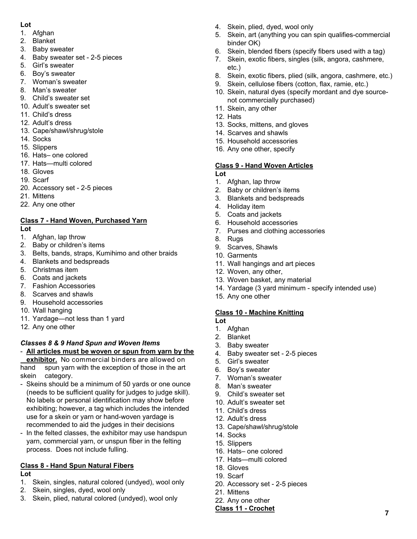### **Lot**

- 1. Afghan
- 2. Blanket
- 3. Baby sweater
- 4. Baby sweater set 2-5 pieces
- 5. Girl's sweater
- 6. Boy's sweater
- 7. Woman's sweater
- 8. Man's sweater
- 9. Child's sweater set 10. Adult's sweater set
- 11. Child's dress
- 12. Adult's dress
- 13. Cape/shawl/shrug/stole
- 14. Socks
- 15. Slippers
- 16. Hats– one colored
- 17. Hats—multi colored
- 18. Gloves
- 19. Scarf
- 20. Accessory set 2-5 pieces
- 21. Mittens
- 22. Any one other

## **Class 7 - Hand Woven, Purchased Yarn**

- **Lot**
- 1. Afghan, lap throw
- 2. Baby or children's items
- 3. Belts, bands, straps, Kumihimo and other braids
- 4. Blankets and bedspreads
- 5. Christmas item
- 6. Coats and jackets
- 7. Fashion Accessories
- 8. Scarves and shawls
- 9. Household accessories
- 10. Wall hanging
- 11. Yardage—not less than 1 yard
- 12. Any one other

## *Classes 8 & 9 Hand Spun and Woven Items*

# - **All articles must be woven or spun from yarn by the**

 **exhibitor.** No commercial binders are allowed on hand spun yarn with the exception of those in the art skein category.

- Skeins should be a minimum of 50 yards or one ounce (needs to be sufficient quality for judges to judge skill). No labels or personal identification may show before exhibiting; however, a tag which includes the intended use for a skein or yarn or hand-woven yardage is recommended to aid the judges in their decisions
- In the felted classes, the exhibitor may use handspun yarn, commercial yarn, or unspun fiber in the felting process. Does not include fulling.

# **Class 8 - Hand Spun Natural Fibers**

- **Lot**
- 1. Skein, singles, natural colored (undyed), wool only
- 2. Skein, singles, dyed, wool only
- 3. Skein, plied, natural colored (undyed), wool only
- 4. Skein, plied, dyed, wool only
- 5. Skein, art (anything you can spin qualifies-commercial binder OK)
- 6. Skein, blended fibers (specify fibers used with a tag)
- 7. Skein, exotic fibers, singles (silk, angora, cashmere, etc.)
- 8. Skein, exotic fibers, plied (silk, angora, cashmere, etc.)
- 9. Skein, cellulose fibers (cotton, flax, ramie, etc.)
- 10. Skein, natural dyes (specify mordant and dye sourcenot commercially purchased)
- 11. Skein, any other
- 12. Hats
- 13. Socks, mittens, and gloves
- 14. Scarves and shawls
- 15. Household accessories
- 16. Any one other, specify

## **Class 9 - Hand Woven Articles**

**Lot** 

- 1. Afghan, lap throw
- 2. Baby or children's items
- 3. Blankets and bedspreads
- 4. Holiday item
- 5. Coats and jackets
- 6. Household accessories
- 7. Purses and clothing accessories
- 8. Rugs
- 9. Scarves, Shawls
- 10. Garments
- 11. Wall hangings and art pieces
- 12. Woven, any other,
- 13. Woven basket, any material
- 14. Yardage (3 yard minimum specify intended use)
- 15. Any one other

## **Class 10 - Machine Knitting**

- **Lot**
- 1. Afghan
- 2. Blanket
- 3. Baby sweater
- 4. Baby sweater set 2-5 pieces
- 5. Girl's sweater
- 6. Boy's sweater
- 7. Woman's sweater
- 8. Man's sweater
- 9. Child's sweater set
- 10. Adult's sweater set
- 11. Child's dress
- 12. Adult's dress
- 13. Cape/shawl/shrug/stole
- 14. Socks
- 15. Slippers
- 16. Hats– one colored
- 17. Hats—multi colored
- 18. Gloves
- 19. Scarf
- 20. Accessory set 2-5 pieces
- 21. Mittens
- 22. Any one other **Class 11 - Crochet** 7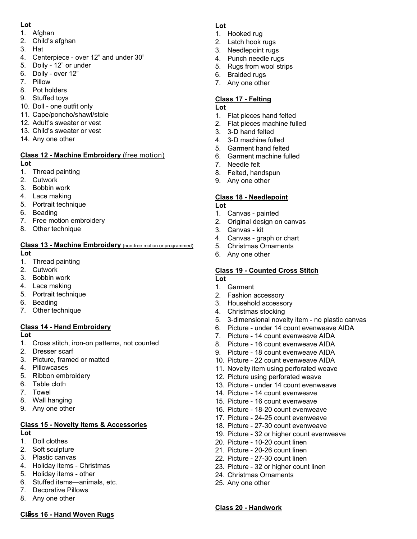### **Lot**

- 1. Afghan
- 2. Child's afghan
- 3. Hat
- 4. Centerpiece over 12" and under 30"
- 5. Doily 12" or under
- 6. Doily over 12"
- 7. Pillow
- 8. Pot holders
- 9. Stuffed toys
- 10. Doll one outfit only
- 11. Cape/poncho/shawl/stole
- 12. Adult's sweater or vest
- 13. Child's sweater or vest
- 14. Any one other

#### **Class 12 - Machine Embroidery** (free motion) **Lot**

- 1. Thread painting
- 2. Cutwork
- 3. Bobbin work
- 4. Lace making
- 5. Portrait technique
- 6. Beading
- 7. Free motion embroidery
- 8. Other technique

#### **Class 13 - Machine Embroidery** (non-free motion or programmed) **Lot**

- 1. Thread painting
- 2. Cutwork
- 3. Bobbin work
- 4. Lace making
- 5. Portrait technique
- 6. Beading
- 7. Other technique

## **Class 14 - Hand Embroidery**

#### **Lot**

- 1. Cross stitch, iron-on patterns, not counted
- 2. Dresser scarf
- 3. Picture, framed or matted
- 4. Pillowcases
- 5. Ribbon embroidery
- 6. Table cloth
- 7. Towel
- 8. Wall hanging
- 9. Any one other

#### **Class 15 - Novelty Items & Accessories Lot**

- 1. Doll clothes
- 2. Soft sculpture
- 3. Plastic canvas
- 4. Holiday items Christmas
- 5. Holiday items other
- 6. Stuffed items—animals, etc.
- 7. Decorative Pillows
- 8. Any one other

# **Class 16 - Hand Woven Rugs**

## **Lot**

- 1. Hooked rug
- 2. Latch hook rugs
- 3. Needlepoint rugs
- 4. Punch needle rugs
- 5. Rugs from wool strips
- 6. Braided rugs 7. Any one other

# **Class 17 - Felting**

#### **Lot**

- 1. Flat pieces hand felted
- 2. Flat pieces machine fulled
- 3. 3-D hand felted
- 4. 3-D machine fulled
- 5. Garment hand felted
- 6. Garment machine fulled
- 7. Needle felt
- 8. Felted, handspun
- 9. Any one other

## **Class 18 - Needlepoint**

- **Lot**
- 1. Canvas painted
- 2. Original design on canvas
- 3. Canvas kit
- 4. Canvas graph or chart
- 5. Christmas Ornaments
- 6. Any one other

## **Class 19 - Counted Cross Stitch**

- **Lot**
- 1. Garment
- 2. Fashion accessory 3. Household accessory
- 4. Christmas stocking
- 
- 5. 3-dimensional novelty item no plastic canvas
- 6. Picture under 14 count evenweave AIDA
- 7. Picture 14 count evenweave AIDA
- 8. Picture 16 count evenweave AIDA
- 9. Picture 18 count evenweave AIDA
- 10. Picture 22 count evenweave AIDA
- 11. Novelty item using perforated weave
- 12. Picture using perforated weave
- 13. Picture under 14 count evenweave
- 14. Picture 14 count evenweave
- 15. Picture 16 count evenweave

20. Picture - 10-20 count linen 21. Picture - 20-26 count linen 22. Picture - 27-30 count linen 23. Picture - 32 or higher count linen

24. Christmas Ornaments

25. Any one other

**Class 20 - Handwork** 

- 16. Picture 18-20 count evenweave
- 17. Picture 24-25 count evenweave
- 18. Picture 27-30 count evenweave
- 19. Picture 32 or higher count evenweave